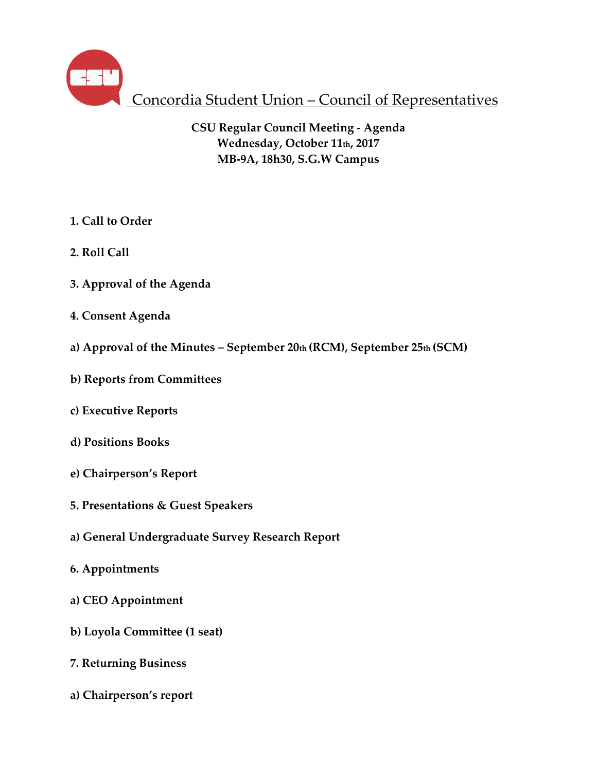

Concordia Student Union – Council of Representatives

**CSU Regular Council Meeting - Agenda Wednesday, October 11th, 2017 MB-9A, 18h30, S.G.W Campus**

- **1. Call to Order**
- **2. Roll Call**
- **3. Approval of the Agenda**
- **4. Consent Agenda**
- **a) Approval of the Minutes – September 20th (RCM), September 25th (SCM)**
- **b) Reports from Committees**
- **c) Executive Reports**
- **d) Positions Books**
- **e) Chairperson's Report**
- **5. Presentations & Guest Speakers**
- **a) General Undergraduate Survey Research Report**
- **6. Appointments**
- **a) CEO Appointment**
- **b) Loyola Committee (1 seat)**
- **7. Returning Business**
- **a) Chairperson's report**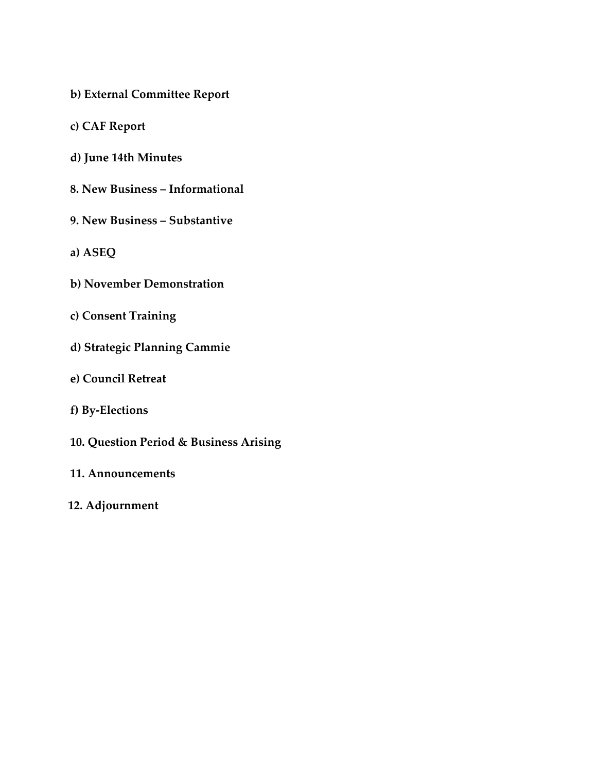- **b) External Committee Report**
- **c) CAF Report**
- **d) June 14th Minutes**
- **8. New Business – Informational**
- **9. New Business – Substantive**
- **a) ASEQ**
- **b) November Demonstration**
- **c) Consent Training**
- **d) Strategic Planning Cammie**
- **e) Council Retreat**
- **f) By-Elections**
- **10. Question Period & Business Arising**
- **11. Announcements**
- **12. Adjournment**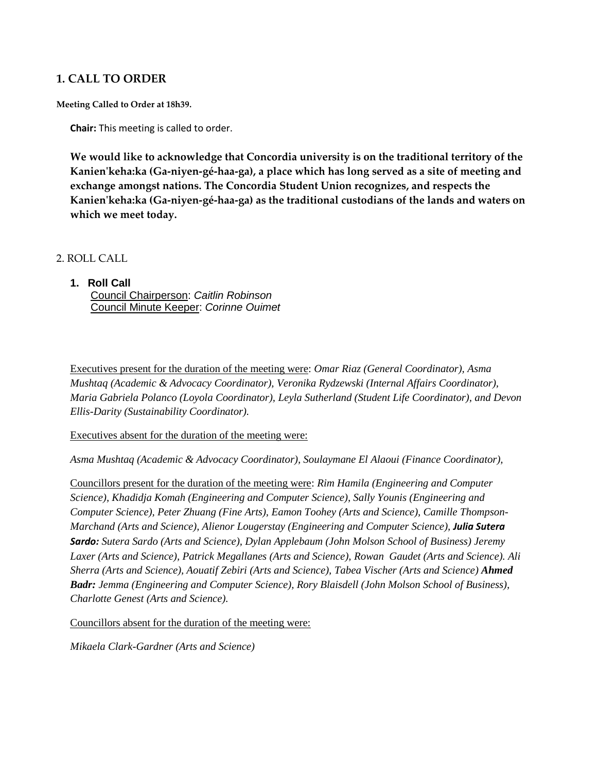## **1. CALL TO ORDER**

**Meeting Called to Order at 18h39.**

**Chair:** This meeting is called to order.

**We would like to acknowledge that Concordia university is on the traditional territory of the Kanien'keha:ka (Ga-niyen-gé-haa-ga), a place which has long served as a site of meeting and exchange amongst nations. The Concordia Student Union recognizes, and respects the Kanien'keha:ka (Ga-niyen-gé-haa-ga) as the traditional custodians of the lands and waters on which we meet today.**

#### 2. ROLL CALL

# **1. Roll Call**

Council Chairperson: *Caitlin Robinson* Council Minute Keeper: *Corinne Ouimet*

Executives present for the duration of the meeting were: *Omar Riaz (General Coordinator), Asma Mushtaq (Academic & Advocacy Coordinator), Veronika Rydzewski (Internal Affairs Coordinator), Maria Gabriela Polanco (Loyola Coordinator), Leyla Sutherland (Student Life Coordinator), and Devon Ellis-Darity (Sustainability Coordinator).* 

#### Executives absent for the duration of the meeting were:

*Asma Mushtaq (Academic & Advocacy Coordinator), Soulaymane El Alaoui (Finance Coordinator),*

Councillors present for the duration of the meeting were: *Rim Hamila (Engineering and Computer Science), Khadidja Komah (Engineering and Computer Science), Sally Younis (Engineering and Computer Science), Peter Zhuang (Fine Arts), Eamon Toohey (Arts and Science), Camille Thompson-Marchand (Arts and Science), Alienor Lougerstay (Engineering and Computer Science), Julia Sutera Sardo: Sutera Sardo (Arts and Science), Dylan Applebaum (John Molson School of Business) Jeremy Laxer (Arts and Science), Patrick Megallanes (Arts and Science), Rowan Gaudet (Arts and Science). Ali Sherra (Arts and Science), Aouatif Zebiri (Arts and Science), Tabea Vischer (Arts and Science) Ahmed Badr: Jemma (Engineering and Computer Science), Rory Blaisdell (John Molson School of Business), Charlotte Genest (Arts and Science).*

Councillors absent for the duration of the meeting were:

*Mikaela Clark-Gardner (Arts and Science)*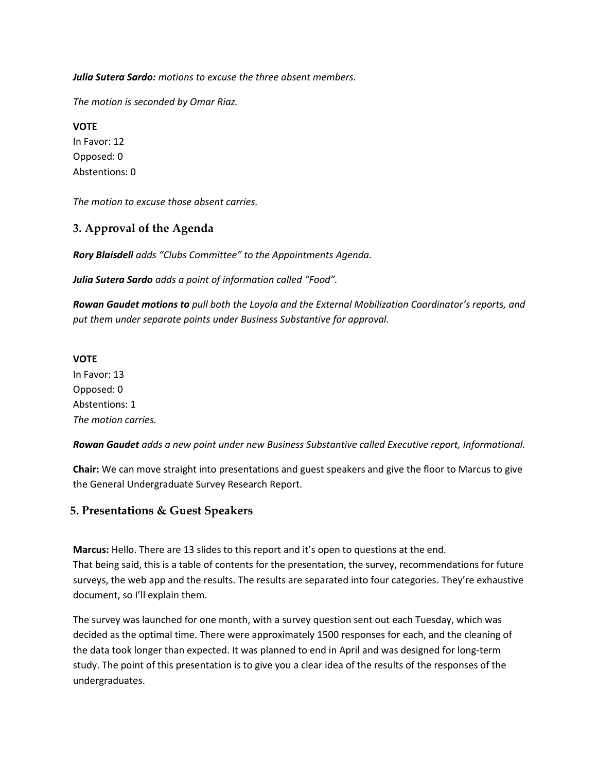*Julia Sutera Sardo: motions to excuse the three absent members.* 

*The motion is seconded by Omar Riaz.*

**VOTE** In Favor: 12 Opposed: 0 Abstentions: 0

*The motion to excuse those absent carries.* 

# **3. Approval of the Agenda**

*Rory Blaisdell adds "Clubs Committee" to the Appointments Agenda.*

*Julia Sutera Sardo adds a point of information called "Food".*

*Rowan Gaudet motions to pull both the Loyola and the External Mobilization Coordinator's reports, and put them under separate points under Business Substantive for approval.* 

#### **VOTE**

In Favor: 13 Opposed: 0 Abstentions: 1 *The motion carries.*

*Rowan Gaudet adds a new point under new Business Substantive called Executive report, Informational.*

**Chair:** We can move straight into presentations and guest speakers and give the floor to Marcus to give the General Undergraduate Survey Research Report.

## **5. Presentations & Guest Speakers**

**Marcus:** Hello. There are 13 slides to this report and it's open to questions at the end. That being said, this is a table of contents for the presentation, the survey, recommendations for future surveys, the web app and the results. The results are separated into four categories. They're exhaustive document, so I'll explain them.

The survey was launched for one month, with a survey question sent out each Tuesday, which was decided as the optimal time. There were approximately 1500 responses for each, and the cleaning of the data took longer than expected. It was planned to end in April and was designed for long-term study. The point of this presentation is to give you a clear idea of the results of the responses of the undergraduates.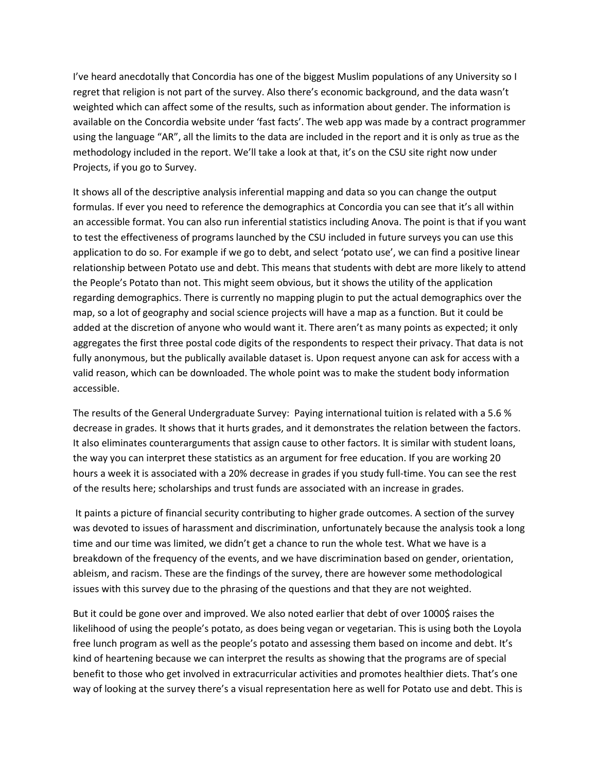I've heard anecdotally that Concordia has one of the biggest Muslim populations of any University so I regret that religion is not part of the survey. Also there's economic background, and the data wasn't weighted which can affect some of the results, such as information about gender. The information is available on the Concordia website under 'fast facts'. The web app was made by a contract programmer using the language "AR", all the limits to the data are included in the report and it is only as true as the methodology included in the report. We'll take a look at that, it's on the CSU site right now under Projects, if you go to Survey.

It shows all of the descriptive analysis inferential mapping and data so you can change the output formulas. If ever you need to reference the demographics at Concordia you can see that it's all within an accessible format. You can also run inferential statistics including Anova. The point is that if you want to test the effectiveness of programs launched by the CSU included in future surveys you can use this application to do so. For example if we go to debt, and select 'potato use', we can find a positive linear relationship between Potato use and debt. This means that students with debt are more likely to attend the People's Potato than not. This might seem obvious, but it shows the utility of the application regarding demographics. There is currently no mapping plugin to put the actual demographics over the map, so a lot of geography and social science projects will have a map as a function. But it could be added at the discretion of anyone who would want it. There aren't as many points as expected; it only aggregates the first three postal code digits of the respondents to respect their privacy. That data is not fully anonymous, but the publically available dataset is. Upon request anyone can ask for access with a valid reason, which can be downloaded. The whole point was to make the student body information accessible.

The results of the General Undergraduate Survey: Paying international tuition is related with a 5.6 % decrease in grades. It shows that it hurts grades, and it demonstrates the relation between the factors. It also eliminates counterarguments that assign cause to other factors. It is similar with student loans, the way you can interpret these statistics as an argument for free education. If you are working 20 hours a week it is associated with a 20% decrease in grades if you study full-time. You can see the rest of the results here; scholarships and trust funds are associated with an increase in grades.

It paints a picture of financial security contributing to higher grade outcomes. A section of the survey was devoted to issues of harassment and discrimination, unfortunately because the analysis took a long time and our time was limited, we didn't get a chance to run the whole test. What we have is a breakdown of the frequency of the events, and we have discrimination based on gender, orientation, ableism, and racism. These are the findings of the survey, there are however some methodological issues with this survey due to the phrasing of the questions and that they are not weighted.

But it could be gone over and improved. We also noted earlier that debt of over 1000\$ raises the likelihood of using the people's potato, as does being vegan or vegetarian. This is using both the Loyola free lunch program as well as the people's potato and assessing them based on income and debt. It's kind of heartening because we can interpret the results as showing that the programs are of special benefit to those who get involved in extracurricular activities and promotes healthier diets. That's one way of looking at the survey there's a visual representation here as well for Potato use and debt. This is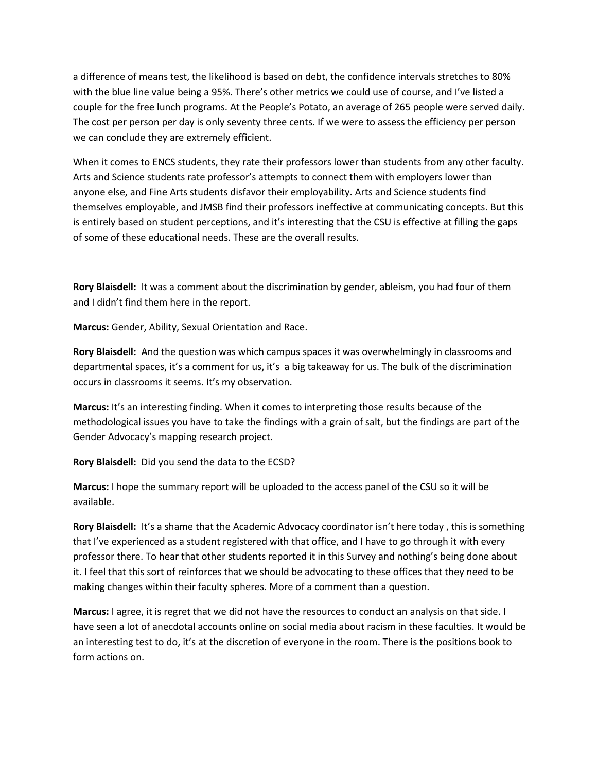a difference of means test, the likelihood is based on debt, the confidence intervals stretches to 80% with the blue line value being a 95%. There's other metrics we could use of course, and I've listed a couple for the free lunch programs. At the People's Potato, an average of 265 people were served daily. The cost per person per day is only seventy three cents. If we were to assess the efficiency per person we can conclude they are extremely efficient.

When it comes to ENCS students, they rate their professors lower than students from any other faculty. Arts and Science students rate professor's attempts to connect them with employers lower than anyone else, and Fine Arts students disfavor their employability. Arts and Science students find themselves employable, and JMSB find their professors ineffective at communicating concepts. But this is entirely based on student perceptions, and it's interesting that the CSU is effective at filling the gaps of some of these educational needs. These are the overall results.

**Rory Blaisdell:** It was a comment about the discrimination by gender, ableism, you had four of them and I didn't find them here in the report.

**Marcus:** Gender, Ability, Sexual Orientation and Race.

**Rory Blaisdell:** And the question was which campus spaces it was overwhelmingly in classrooms and departmental spaces, it's a comment for us, it's a big takeaway for us. The bulk of the discrimination occurs in classrooms it seems. It's my observation.

**Marcus:** It's an interesting finding. When it comes to interpreting those results because of the methodological issues you have to take the findings with a grain of salt, but the findings are part of the Gender Advocacy's mapping research project.

**Rory Blaisdell:** Did you send the data to the ECSD?

**Marcus:** I hope the summary report will be uploaded to the access panel of the CSU so it will be available.

**Rory Blaisdell:** It's a shame that the Academic Advocacy coordinator isn't here today , this is something that I've experienced as a student registered with that office, and I have to go through it with every professor there. To hear that other students reported it in this Survey and nothing's being done about it. I feel that this sort of reinforces that we should be advocating to these offices that they need to be making changes within their faculty spheres. More of a comment than a question.

**Marcus:** I agree, it is regret that we did not have the resources to conduct an analysis on that side. I have seen a lot of anecdotal accounts online on social media about racism in these faculties. It would be an interesting test to do, it's at the discretion of everyone in the room. There is the positions book to form actions on.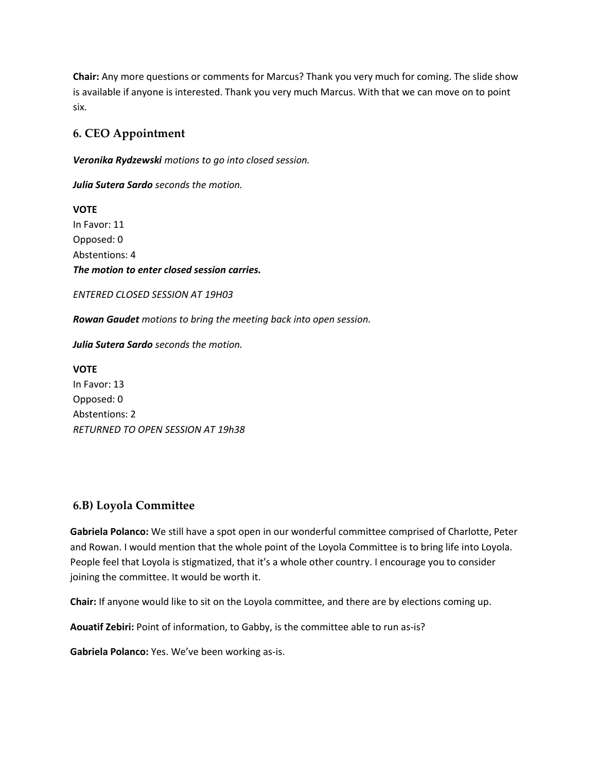**Chair:** Any more questions or comments for Marcus? Thank you very much for coming. The slide show is available if anyone is interested. Thank you very much Marcus. With that we can move on to point six.

# **6. CEO Appointment**

*Veronika Rydzewski motions to go into closed session.*

*Julia Sutera Sardo seconds the motion.*

**VOTE** In Favor: 11 Opposed: 0 Abstentions: 4 *The motion to enter closed session carries.* 

*ENTERED CLOSED SESSION AT 19H03*

*Rowan Gaudet motions to bring the meeting back into open session.*

*Julia Sutera Sardo seconds the motion.*

**VOTE** In Favor: 13 Opposed: 0 Abstentions: 2 *RETURNED TO OPEN SESSION AT 19h38*

## **6.B) Loyola Committee**

**Gabriela Polanco:** We still have a spot open in our wonderful committee comprised of Charlotte, Peter and Rowan. I would mention that the whole point of the Loyola Committee is to bring life into Loyola. People feel that Loyola is stigmatized, that it's a whole other country. I encourage you to consider joining the committee. It would be worth it.

**Chair:** If anyone would like to sit on the Loyola committee, and there are by elections coming up.

**Aouatif Zebiri:** Point of information, to Gabby, is the committee able to run as-is?

**Gabriela Polanco:** Yes. We've been working as-is.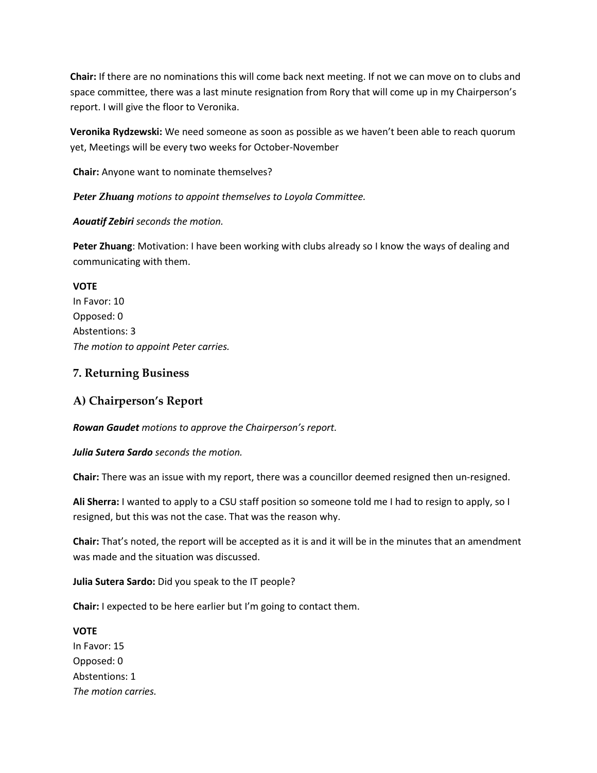**Chair:** If there are no nominations this will come back next meeting. If not we can move on to clubs and space committee, there was a last minute resignation from Rory that will come up in my Chairperson's report. I will give the floor to Veronika.

**Veronika Rydzewski:** We need someone as soon as possible as we haven't been able to reach quorum yet, Meetings will be every two weeks for October-November

**Chair:** Anyone want to nominate themselves?

*Peter Zhuang motions to appoint themselves to Loyola Committee.* 

#### *Aouatif Zebiri seconds the motion.*

**Peter Zhuang**: Motivation: I have been working with clubs already so I know the ways of dealing and communicating with them.

**VOTE** In Favor: 10 Opposed: 0 Abstentions: 3 *The motion to appoint Peter carries.* 

### **7. Returning Business**

## **A) Chairperson's Report**

*Rowan Gaudet motions to approve the Chairperson's report.*

*Julia Sutera Sardo seconds the motion.*

**Chair:** There was an issue with my report, there was a councillor deemed resigned then un-resigned.

**Ali Sherra:** I wanted to apply to a CSU staff position so someone told me I had to resign to apply, so I resigned, but this was not the case. That was the reason why.

**Chair:** That's noted, the report will be accepted as it is and it will be in the minutes that an amendment was made and the situation was discussed.

**Julia Sutera Sardo:** Did you speak to the IT people?

**Chair:** I expected to be here earlier but I'm going to contact them.

**VOTE** In Favor: 15 Opposed: 0 Abstentions: 1 *The motion carries.*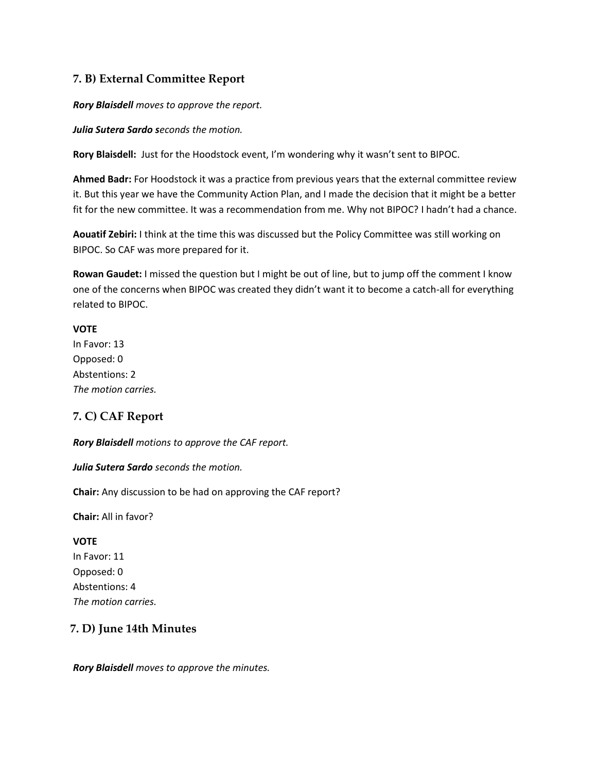## **7. B) External Committee Report**

*Rory Blaisdell moves to approve the report.*

*Julia Sutera Sardo seconds the motion.* 

**Rory Blaisdell:** Just for the Hoodstock event, I'm wondering why it wasn't sent to BIPOC.

**Ahmed Badr:** For Hoodstock it was a practice from previous years that the external committee review it. But this year we have the Community Action Plan, and I made the decision that it might be a better fit for the new committee. It was a recommendation from me. Why not BIPOC? I hadn't had a chance.

**Aouatif Zebiri:** I think at the time this was discussed but the Policy Committee was still working on BIPOC. So CAF was more prepared for it.

**Rowan Gaudet:** I missed the question but I might be out of line, but to jump off the comment I know one of the concerns when BIPOC was created they didn't want it to become a catch-all for everything related to BIPOC.

#### **VOTE**

In Favor: 13 Opposed: 0 Abstentions: 2 *The motion carries.*

# **7. C) CAF Report**

*Rory Blaisdell motions to approve the CAF report.*

*Julia Sutera Sardo seconds the motion.*

**Chair:** Any discussion to be had on approving the CAF report?

**Chair:** All in favor?

#### **VOTE**

In Favor: 11 Opposed: 0 Abstentions: 4 *The motion carries.*

## **7. D) June 14th Minutes**

*Rory Blaisdell moves to approve the minutes.*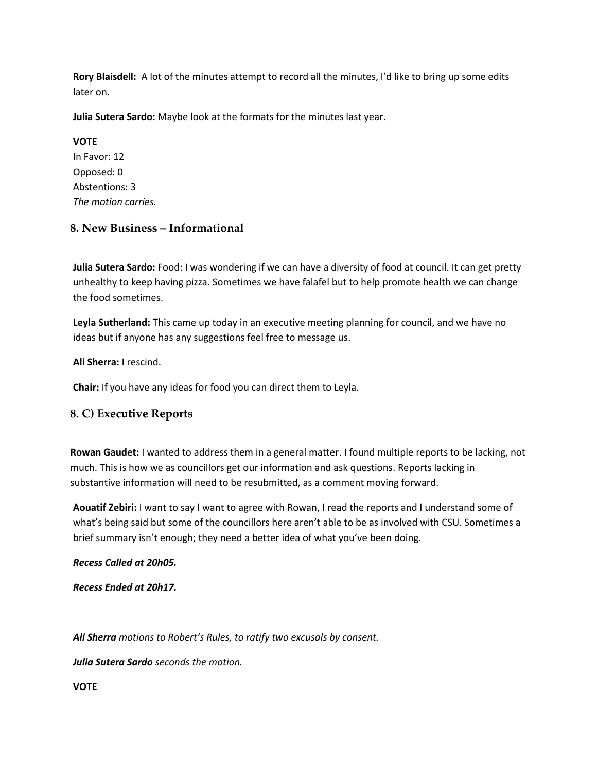**Rory Blaisdell:** A lot of the minutes attempt to record all the minutes, I'd like to bring up some edits later on.

**Julia Sutera Sardo:** Maybe look at the formats for the minutes last year.

**VOTE** In Favor: 12 Opposed: 0 Abstentions: 3 *The motion carries.*

# **8. New Business – Informational**

**Julia Sutera Sardo:** Food: I was wondering if we can have a diversity of food at council. It can get pretty unhealthy to keep having pizza. Sometimes we have falafel but to help promote health we can change the food sometimes.

**Leyla Sutherland:** This came up today in an executive meeting planning for council, and we have no ideas but if anyone has any suggestions feel free to message us.

**Ali Sherra:** I rescind.

**Chair:** If you have any ideas for food you can direct them to Leyla.

## **8. C) Executive Reports**

**Rowan Gaudet:** I wanted to address them in a general matter. I found multiple reports to be lacking, not much. This is how we as councillors get our information and ask questions. Reports lacking in substantive information will need to be resubmitted, as a comment moving forward.

**Aouatif Zebiri:** I want to say I want to agree with Rowan, I read the reports and I understand some of what's being said but some of the councillors here aren't able to be as involved with CSU. Sometimes a brief summary isn't enough; they need a better idea of what you've been doing.

#### *Recess Called at 20h05.*

*Recess Ended at 20h17.*

*Ali Sherra motions to Robert's Rules, to ratify two excusals by consent.* 

*Julia Sutera Sardo seconds the motion.*

**VOTE**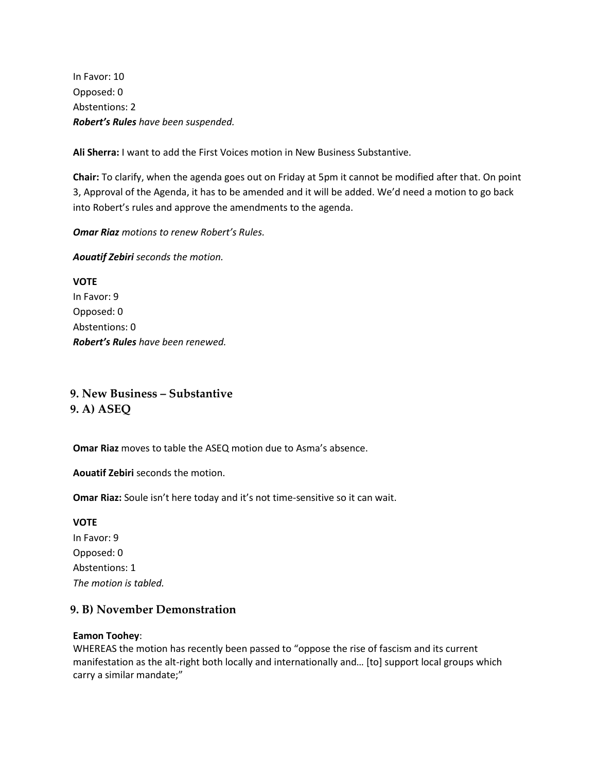In Favor: 10 Opposed: 0 Abstentions: 2 *Robert's Rules have been suspended.* 

**Ali Sherra:** I want to add the First Voices motion in New Business Substantive.

**Chair:** To clarify, when the agenda goes out on Friday at 5pm it cannot be modified after that. On point 3, Approval of the Agenda, it has to be amended and it will be added. We'd need a motion to go back into Robert's rules and approve the amendments to the agenda.

*Omar Riaz motions to renew Robert's Rules.*

*Aouatif Zebiri seconds the motion.* 

**VOTE** In Favor: 9 Opposed: 0 Abstentions: 0 *Robert's Rules have been renewed.*

**9. New Business – Substantive 9. A) ASEQ**

**Omar Riaz** moves to table the ASEQ motion due to Asma's absence.

**Aouatif Zebiri** seconds the motion.

**Omar Riaz:** Soule isn't here today and it's not time-sensitive so it can wait.

**VOTE** In Favor: 9 Opposed: 0 Abstentions: 1 *The motion is tabled.*

## **9. B) November Demonstration**

#### **Eamon Toohey**:

WHEREAS the motion has recently been passed to "oppose the rise of fascism and its current manifestation as the alt-right both locally and internationally and… [to] support local groups which carry a similar mandate;"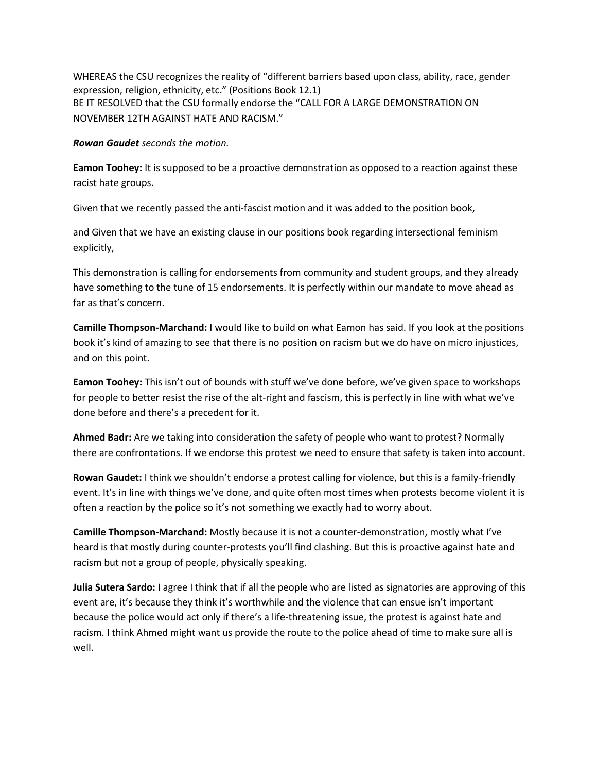WHEREAS the CSU recognizes the reality of "different barriers based upon class, ability, race, gender expression, religion, ethnicity, etc." (Positions Book 12.1) BE IT RESOLVED that the CSU formally endorse the "CALL FOR A LARGE DEMONSTRATION ON NOVEMBER 12TH AGAINST HATE AND RACISM."

*Rowan Gaudet seconds the motion.* 

**Eamon Toohey:** It is supposed to be a proactive demonstration as opposed to a reaction against these racist hate groups.

Given that we recently passed the anti-fascist motion and it was added to the position book,

and Given that we have an existing clause in our positions book regarding intersectional feminism explicitly,

This demonstration is calling for endorsements from community and student groups, and they already have something to the tune of 15 endorsements. It is perfectly within our mandate to move ahead as far as that's concern.

**Camille Thompson-Marchand:** I would like to build on what Eamon has said. If you look at the positions book it's kind of amazing to see that there is no position on racism but we do have on micro injustices, and on this point.

**Eamon Toohey:** This isn't out of bounds with stuff we've done before, we've given space to workshops for people to better resist the rise of the alt-right and fascism, this is perfectly in line with what we've done before and there's a precedent for it.

**Ahmed Badr:** Are we taking into consideration the safety of people who want to protest? Normally there are confrontations. If we endorse this protest we need to ensure that safety is taken into account.

**Rowan Gaudet:** I think we shouldn't endorse a protest calling for violence, but this is a family-friendly event. It's in line with things we've done, and quite often most times when protests become violent it is often a reaction by the police so it's not something we exactly had to worry about.

**Camille Thompson-Marchand:** Mostly because it is not a counter-demonstration, mostly what I've heard is that mostly during counter-protests you'll find clashing. But this is proactive against hate and racism but not a group of people, physically speaking.

**Julia Sutera Sardo:** I agree I think that if all the people who are listed as signatories are approving of this event are, it's because they think it's worthwhile and the violence that can ensue isn't important because the police would act only if there's a life-threatening issue, the protest is against hate and racism. I think Ahmed might want us provide the route to the police ahead of time to make sure all is well.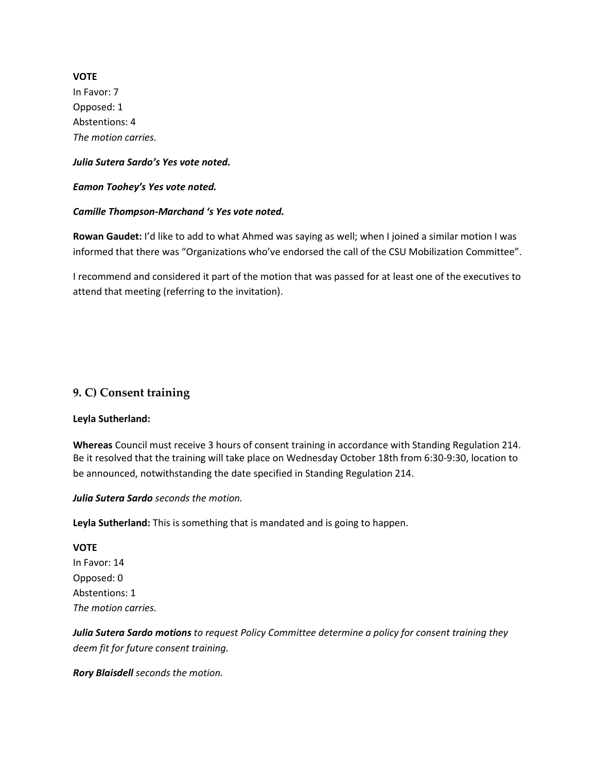**VOTE** In Favor: 7 Opposed: 1 Abstentions: 4 *The motion carries.* 

#### *Julia Sutera Sardo's Yes vote noted.*

*Eamon Toohey's Yes vote noted.* 

#### *Camille Thompson-Marchand 's Yes vote noted.*

**Rowan Gaudet:** I'd like to add to what Ahmed was saying as well; when I joined a similar motion I was informed that there was "Organizations who've endorsed the call of the CSU Mobilization Committee".

I recommend and considered it part of the motion that was passed for at least one of the executives to attend that meeting (referring to the invitation).

## **9. C) Consent training**

#### **Leyla Sutherland:**

**Whereas** Council must receive 3 hours of consent training in accordance with Standing Regulation 214. Be it resolved that the training will take place on Wednesday October 18th from 6:30-9:30, location to be announced, notwithstanding the date specified in Standing Regulation 214.

*Julia Sutera Sardo seconds the motion.*

**Leyla Sutherland:** This is something that is mandated and is going to happen.

#### **VOTE**

In Favor: 14 Opposed: 0 Abstentions: 1 *The motion carries.*

*Julia Sutera Sardo motions to request Policy Committee determine a policy for consent training they deem fit for future consent training.* 

*Rory Blaisdell seconds the motion.*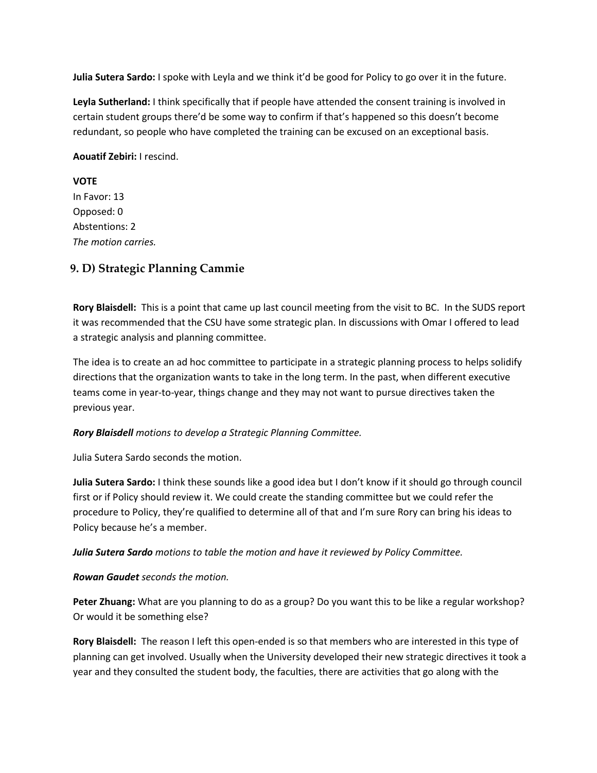**Julia Sutera Sardo:** I spoke with Leyla and we think it'd be good for Policy to go over it in the future.

**Leyla Sutherland:** I think specifically that if people have attended the consent training is involved in certain student groups there'd be some way to confirm if that's happened so this doesn't become redundant, so people who have completed the training can be excused on an exceptional basis.

#### **Aouatif Zebiri:** I rescind.

## **VOTE**

In Favor: 13 Opposed: 0 Abstentions: 2 *The motion carries.*

# **9. D) Strategic Planning Cammie**

**Rory Blaisdell:** This is a point that came up last council meeting from the visit to BC. In the SUDS report it was recommended that the CSU have some strategic plan. In discussions with Omar I offered to lead a strategic analysis and planning committee.

The idea is to create an ad hoc committee to participate in a strategic planning process to helps solidify directions that the organization wants to take in the long term. In the past, when different executive teams come in year-to-year, things change and they may not want to pursue directives taken the previous year.

#### *Rory Blaisdell motions to develop a Strategic Planning Committee.*

Julia Sutera Sardo seconds the motion.

**Julia Sutera Sardo:** I think these sounds like a good idea but I don't know if it should go through council first or if Policy should review it. We could create the standing committee but we could refer the procedure to Policy, they're qualified to determine all of that and I'm sure Rory can bring his ideas to Policy because he's a member.

*Julia Sutera Sardo motions to table the motion and have it reviewed by Policy Committee.* 

#### *Rowan Gaudet seconds the motion.*

**Peter Zhuang:** What are you planning to do as a group? Do you want this to be like a regular workshop? Or would it be something else?

**Rory Blaisdell:** The reason I left this open-ended is so that members who are interested in this type of planning can get involved. Usually when the University developed their new strategic directives it took a year and they consulted the student body, the faculties, there are activities that go along with the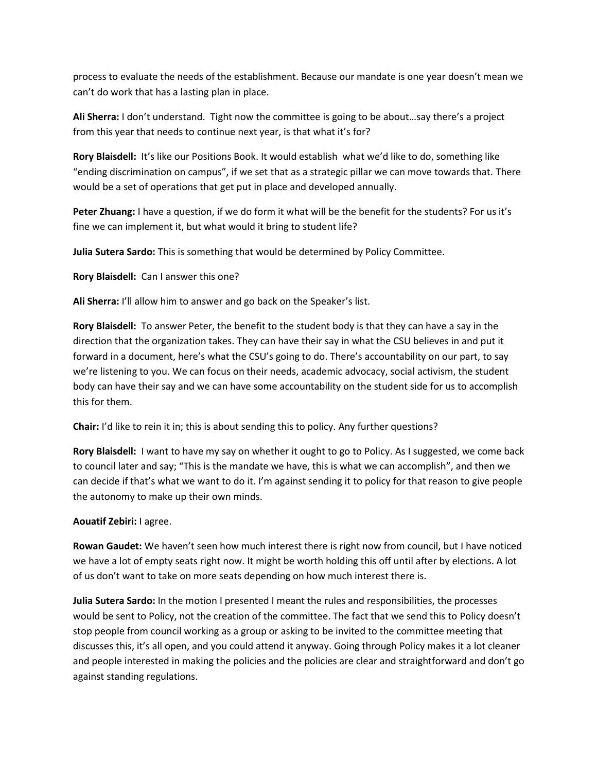process to evaluate the needs of the establishment. Because our mandate is one year doesn't mean we can't do work that has a lasting plan in place.

**Ali Sherra:** I don't understand. Tight now the committee is going to be about…say there's a project from this year that needs to continue next year, is that what it's for?

**Rory Blaisdell:** It's like our Positions Book. It would establish what we'd like to do, something like "ending discrimination on campus", if we set that as a strategic pillar we can move towards that. There would be a set of operations that get put in place and developed annually.

**Peter Zhuang:** I have a question, if we do form it what will be the benefit for the students? For us it's fine we can implement it, but what would it bring to student life?

**Julia Sutera Sardo:** This is something that would be determined by Policy Committee.

**Rory Blaisdell:** Can I answer this one?

**Ali Sherra:** I'll allow him to answer and go back on the Speaker's list.

**Rory Blaisdell:** To answer Peter, the benefit to the student body is that they can have a say in the direction that the organization takes. They can have their say in what the CSU believes in and put it forward in a document, here's what the CSU's going to do. There's accountability on our part, to say we're listening to you. We can focus on their needs, academic advocacy, social activism, the student body can have their say and we can have some accountability on the student side for us to accomplish this for them.

**Chair:** I'd like to rein it in; this is about sending this to policy. Any further questions?

**Rory Blaisdell:** I want to have my say on whether it ought to go to Policy. As I suggested, we come back to council later and say; "This is the mandate we have, this is what we can accomplish", and then we can decide if that's what we want to do it. I'm against sending it to policy for that reason to give people the autonomy to make up their own minds.

**Aouatif Zebiri:** I agree.

**Rowan Gaudet:** We haven't seen how much interest there is right now from council, but I have noticed we have a lot of empty seats right now. It might be worth holding this off until after by elections. A lot of us don't want to take on more seats depending on how much interest there is.

**Julia Sutera Sardo:** In the motion I presented I meant the rules and responsibilities, the processes would be sent to Policy, not the creation of the committee. The fact that we send this to Policy doesn't stop people from council working as a group or asking to be invited to the committee meeting that discusses this, it's all open, and you could attend it anyway. Going through Policy makes it a lot cleaner and people interested in making the policies and the policies are clear and straightforward and don't go against standing regulations.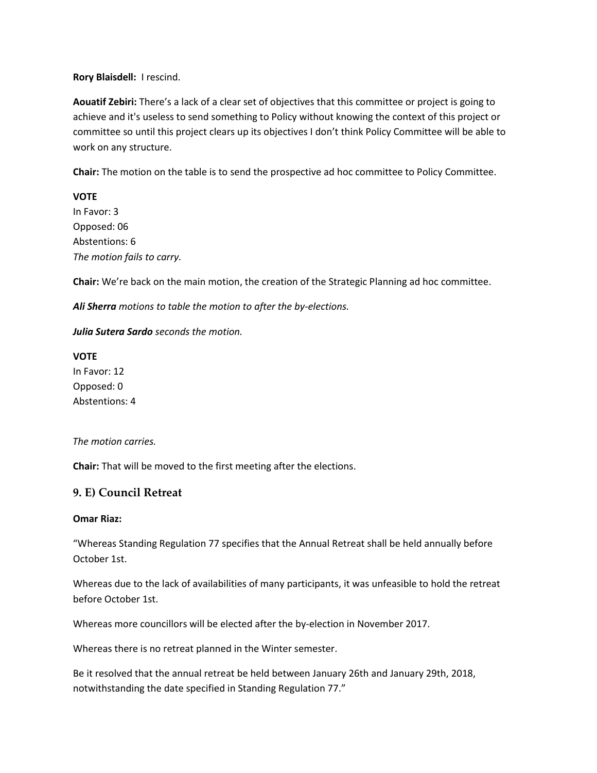#### **Rory Blaisdell:** I rescind.

**Aouatif Zebiri:** There's a lack of a clear set of objectives that this committee or project is going to achieve and it's useless to send something to Policy without knowing the context of this project or committee so until this project clears up its objectives I don't think Policy Committee will be able to work on any structure.

**Chair:** The motion on the table is to send the prospective ad hoc committee to Policy Committee.

#### **VOTE**

In Favor: 3 Opposed: 06 Abstentions: 6 *The motion fails to carry.* 

**Chair:** We're back on the main motion, the creation of the Strategic Planning ad hoc committee.

*Ali Sherra motions to table the motion to after the by-elections.*

#### *Julia Sutera Sardo seconds the motion.*

**VOTE** In Favor: 12 Opposed: 0 Abstentions: 4

#### *The motion carries.*

**Chair:** That will be moved to the first meeting after the elections.

#### **9. E) Council Retreat**

#### **Omar Riaz:**

"Whereas Standing Regulation 77 specifies that the Annual Retreat shall be held annually before October 1st.

Whereas due to the lack of availabilities of many participants, it was unfeasible to hold the retreat before October 1st.

Whereas more councillors will be elected after the by-election in November 2017.

Whereas there is no retreat planned in the Winter semester.

Be it resolved that the annual retreat be held between January 26th and January 29th, 2018, notwithstanding the date specified in Standing Regulation 77."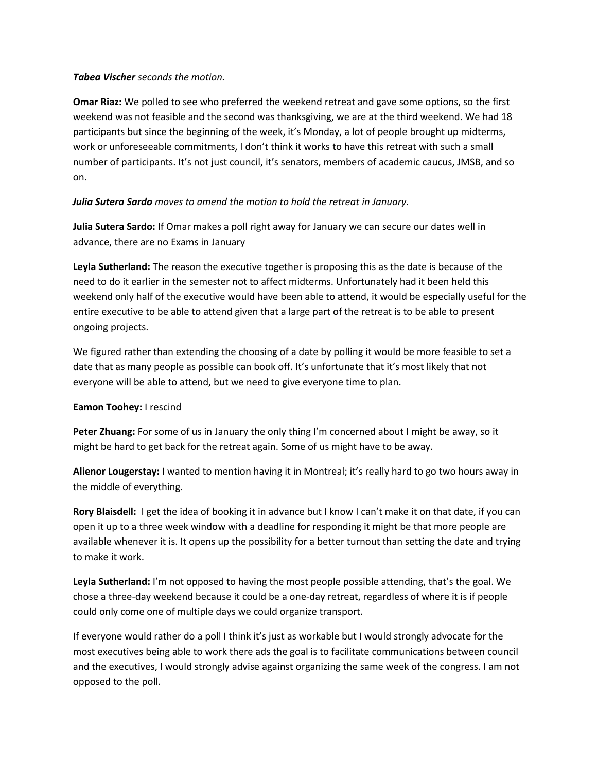#### *Tabea Vischer seconds the motion.*

**Omar Riaz:** We polled to see who preferred the weekend retreat and gave some options, so the first weekend was not feasible and the second was thanksgiving, we are at the third weekend. We had 18 participants but since the beginning of the week, it's Monday, a lot of people brought up midterms, work or unforeseeable commitments, I don't think it works to have this retreat with such a small number of participants. It's not just council, it's senators, members of academic caucus, JMSB, and so on.

#### *Julia Sutera Sardo moves to amend the motion to hold the retreat in January.*

**Julia Sutera Sardo:** If Omar makes a poll right away for January we can secure our dates well in advance, there are no Exams in January

**Leyla Sutherland:** The reason the executive together is proposing this as the date is because of the need to do it earlier in the semester not to affect midterms. Unfortunately had it been held this weekend only half of the executive would have been able to attend, it would be especially useful for the entire executive to be able to attend given that a large part of the retreat is to be able to present ongoing projects.

We figured rather than extending the choosing of a date by polling it would be more feasible to set a date that as many people as possible can book off. It's unfortunate that it's most likely that not everyone will be able to attend, but we need to give everyone time to plan.

#### **Eamon Toohey:** I rescind

**Peter Zhuang:** For some of us in January the only thing I'm concerned about I might be away, so it might be hard to get back for the retreat again. Some of us might have to be away.

**Alienor Lougerstay:** I wanted to mention having it in Montreal; it's really hard to go two hours away in the middle of everything.

**Rory Blaisdell:** I get the idea of booking it in advance but I know I can't make it on that date, if you can open it up to a three week window with a deadline for responding it might be that more people are available whenever it is. It opens up the possibility for a better turnout than setting the date and trying to make it work.

**Leyla Sutherland:** I'm not opposed to having the most people possible attending, that's the goal. We chose a three-day weekend because it could be a one-day retreat, regardless of where it is if people could only come one of multiple days we could organize transport.

If everyone would rather do a poll I think it's just as workable but I would strongly advocate for the most executives being able to work there ads the goal is to facilitate communications between council and the executives, I would strongly advise against organizing the same week of the congress. I am not opposed to the poll.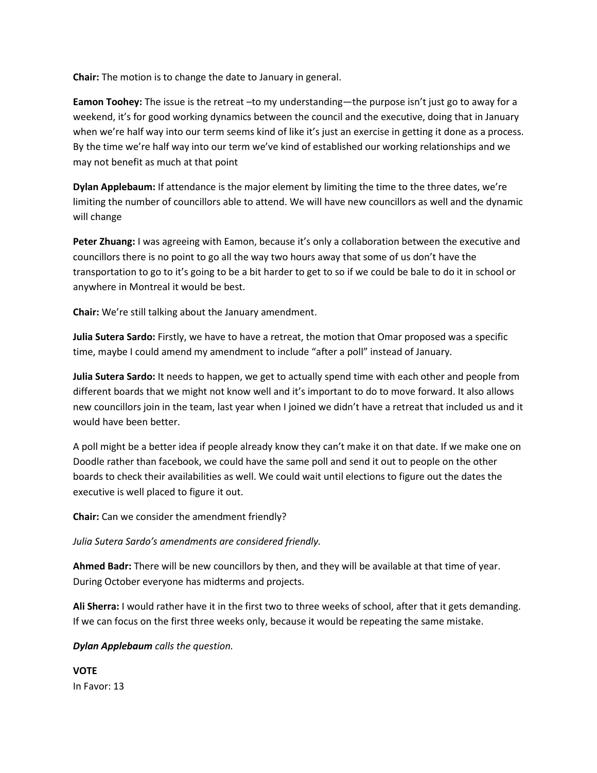**Chair:** The motion is to change the date to January in general.

**Eamon Toohey:** The issue is the retreat –to my understanding—the purpose isn't just go to away for a weekend, it's for good working dynamics between the council and the executive, doing that in January when we're half way into our term seems kind of like it's just an exercise in getting it done as a process. By the time we're half way into our term we've kind of established our working relationships and we may not benefit as much at that point

**Dylan Applebaum:** If attendance is the major element by limiting the time to the three dates, we're limiting the number of councillors able to attend. We will have new councillors as well and the dynamic will change

**Peter Zhuang:** I was agreeing with Eamon, because it's only a collaboration between the executive and councillors there is no point to go all the way two hours away that some of us don't have the transportation to go to it's going to be a bit harder to get to so if we could be bale to do it in school or anywhere in Montreal it would be best.

**Chair:** We're still talking about the January amendment.

**Julia Sutera Sardo:** Firstly, we have to have a retreat, the motion that Omar proposed was a specific time, maybe I could amend my amendment to include "after a poll" instead of January.

**Julia Sutera Sardo:** It needs to happen, we get to actually spend time with each other and people from different boards that we might not know well and it's important to do to move forward. It also allows new councillors join in the team, last year when I joined we didn't have a retreat that included us and it would have been better.

A poll might be a better idea if people already know they can't make it on that date. If we make one on Doodle rather than facebook, we could have the same poll and send it out to people on the other boards to check their availabilities as well. We could wait until elections to figure out the dates the executive is well placed to figure it out.

**Chair:** Can we consider the amendment friendly?

*Julia Sutera Sardo's amendments are considered friendly.*

**Ahmed Badr:** There will be new councillors by then, and they will be available at that time of year. During October everyone has midterms and projects.

**Ali Sherra:** I would rather have it in the first two to three weeks of school, after that it gets demanding. If we can focus on the first three weeks only, because it would be repeating the same mistake.

#### *Dylan Applebaum calls the question.*

**VOTE** In Favor: 13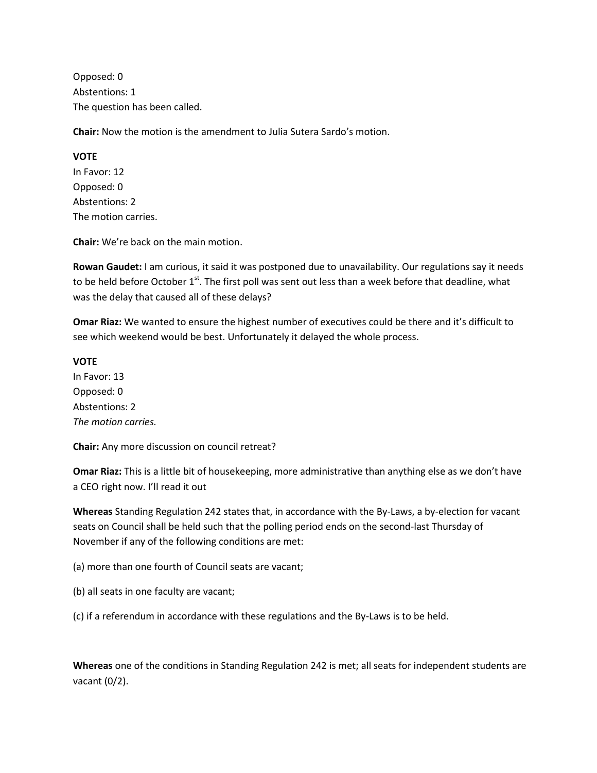Opposed: 0 Abstentions: 1 The question has been called.

**Chair:** Now the motion is the amendment to Julia Sutera Sardo's motion.

**VOTE** In Favor: 12 Opposed: 0 Abstentions: 2 The motion carries.

**Chair:** We're back on the main motion.

**Rowan Gaudet:** I am curious, it said it was postponed due to unavailability. Our regulations say it needs to be held before October  $1<sup>st</sup>$ . The first poll was sent out less than a week before that deadline, what was the delay that caused all of these delays?

**Omar Riaz:** We wanted to ensure the highest number of executives could be there and it's difficult to see which weekend would be best. Unfortunately it delayed the whole process.

#### **VOTE**

In Favor: 13 Opposed: 0 Abstentions: 2 *The motion carries.*

**Chair:** Any more discussion on council retreat?

**Omar Riaz:** This is a little bit of housekeeping, more administrative than anything else as we don't have a CEO right now. I'll read it out

**Whereas** Standing Regulation 242 states that, in accordance with the By-Laws, a by-election for vacant seats on Council shall be held such that the polling period ends on the second-last Thursday of November if any of the following conditions are met:

(a) more than one fourth of Council seats are vacant;

(b) all seats in one faculty are vacant;

(c) if a referendum in accordance with these regulations and the By-Laws is to be held.

**Whereas** one of the conditions in Standing Regulation 242 is met; all seats for independent students are vacant (0/2).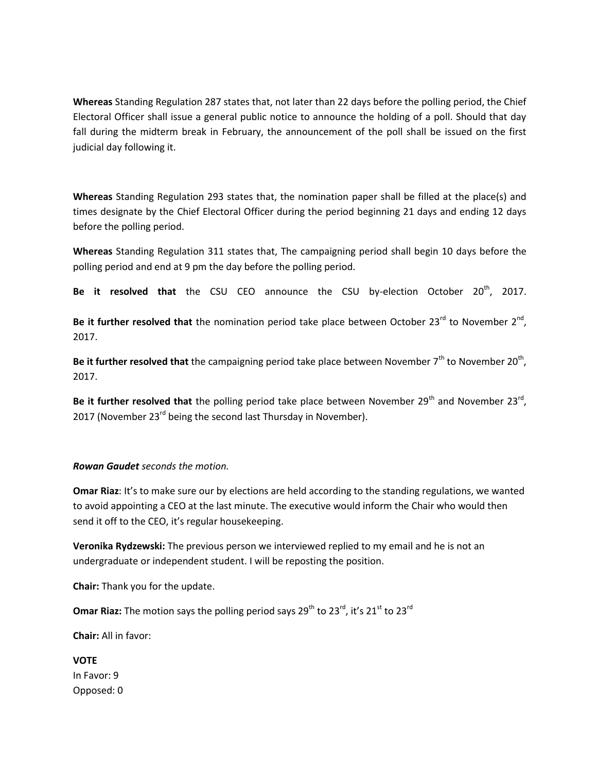**Whereas** Standing Regulation 287 states that, not later than 22 days before the polling period, the Chief Electoral Officer shall issue a general public notice to announce the holding of a poll. Should that day fall during the midterm break in February, the announcement of the poll shall be issued on the first judicial day following it.

**Whereas** Standing Regulation 293 states that, the nomination paper shall be filled at the place(s) and times designate by the Chief Electoral Officer during the period beginning 21 days and ending 12 days before the polling period.

**Whereas** Standing Regulation 311 states that, The campaigning period shall begin 10 days before the polling period and end at 9 pm the day before the polling period.

**Be it resolved that** the CSU CEO announce the CSU by-election October 20<sup>th</sup>, 2017.

Be it further resolved that the nomination period take place between October 23 $^{rd}$  to November 2<sup>nd</sup>, 2017.

Be it further resolved that the campaigning period take place between November 7<sup>th</sup> to November 20<sup>th</sup>, 2017.

Be it further resolved that the polling period take place between November 29<sup>th</sup> and November 23<sup>rd</sup>, 2017 (November  $23^{rd}$  being the second last Thursday in November).

#### *Rowan Gaudet seconds the motion.*

**Omar Riaz**: It's to make sure our by elections are held according to the standing regulations, we wanted to avoid appointing a CEO at the last minute. The executive would inform the Chair who would then send it off to the CEO, it's regular housekeeping.

**Veronika Rydzewski:** The previous person we interviewed replied to my email and he is not an undergraduate or independent student. I will be reposting the position.

**Chair:** Thank you for the update.

**Omar Riaz:** The motion says the polling period says 29<sup>th</sup> to 23<sup>rd</sup>, it's 21<sup>st</sup> to 23<sup>rd</sup>

**Chair:** All in favor:

**VOTE** In Favor: 9 Opposed: 0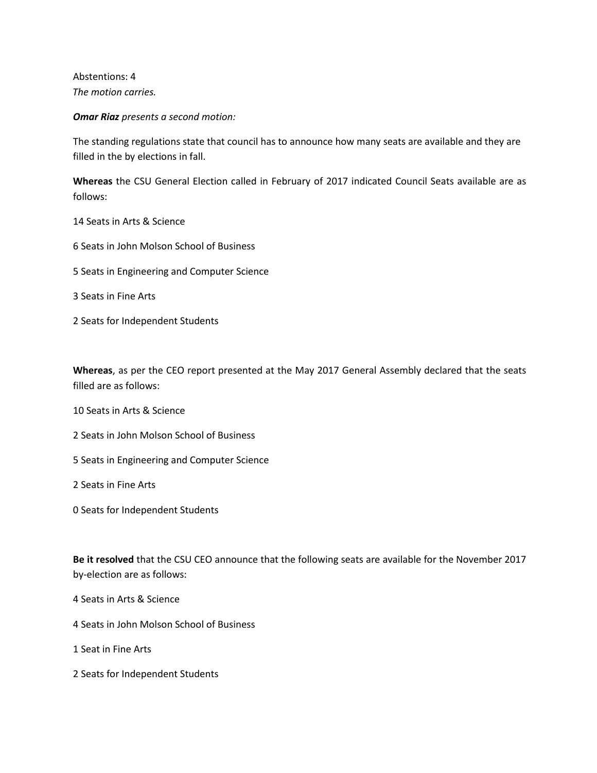Abstentions: 4 *The motion carries.*

*Omar Riaz presents a second motion:* 

The standing regulations state that council has to announce how many seats are available and they are filled in the by elections in fall.

**Whereas** the CSU General Election called in February of 2017 indicated Council Seats available are as follows:

- 14 Seats in Arts & Science
- 6 Seats in John Molson School of Business
- 5 Seats in Engineering and Computer Science
- 3 Seats in Fine Arts
- 2 Seats for Independent Students

**Whereas**, as per the CEO report presented at the May 2017 General Assembly declared that the seats filled are as follows:

- 10 Seats in Arts & Science
- 2 Seats in John Molson School of Business
- 5 Seats in Engineering and Computer Science

2 Seats in Fine Arts

0 Seats for Independent Students

**Be it resolved** that the CSU CEO announce that the following seats are available for the November 2017 by-election are as follows:

4 Seats in Arts & Science

- 4 Seats in John Molson School of Business
- 1 Seat in Fine Arts
- 2 Seats for Independent Students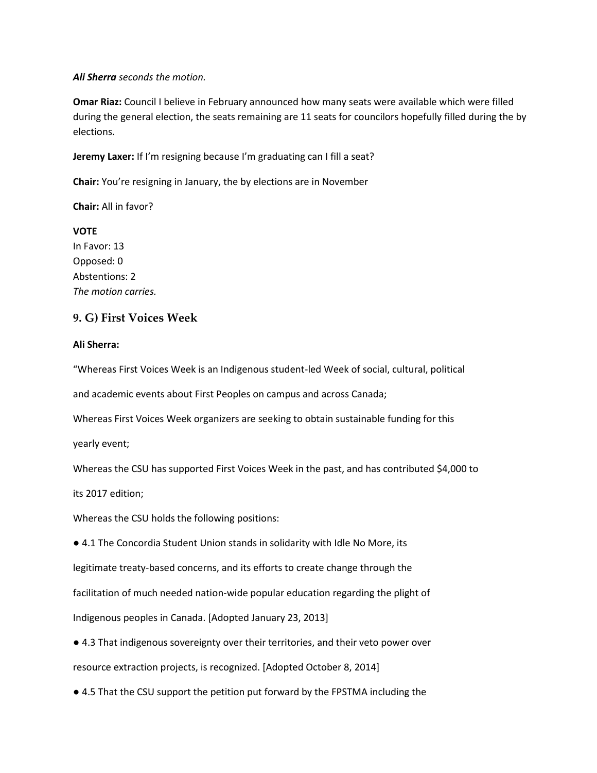#### *Ali Sherra seconds the motion.*

**Omar Riaz:** Council I believe in February announced how many seats were available which were filled during the general election, the seats remaining are 11 seats for councilors hopefully filled during the by elections.

**Jeremy Laxer:** If I'm resigning because I'm graduating can I fill a seat?

**Chair:** You're resigning in January, the by elections are in November

**Chair:** All in favor?

**VOTE** In Favor: 13 Opposed: 0 Abstentions: 2 *The motion carries.*

#### **9. G) First Voices Week**

#### **Ali Sherra:**

"Whereas First Voices Week is an Indigenous student-led Week of social, cultural, political

and academic events about First Peoples on campus and across Canada;

Whereas First Voices Week organizers are seeking to obtain sustainable funding for this

yearly event;

Whereas the CSU has supported First Voices Week in the past, and has contributed \$4,000 to

its 2017 edition;

Whereas the CSU holds the following positions:

● 4.1 The Concordia Student Union stands in solidarity with Idle No More, its legitimate treaty-based concerns, and its efforts to create change through the facilitation of much needed nation-wide popular education regarding the plight of Indigenous peoples in Canada. [Adopted January 23, 2013]

● 4.3 That indigenous sovereignty over their territories, and their veto power over resource extraction projects, is recognized. [Adopted October 8, 2014]

● 4.5 That the CSU support the petition put forward by the FPSTMA including the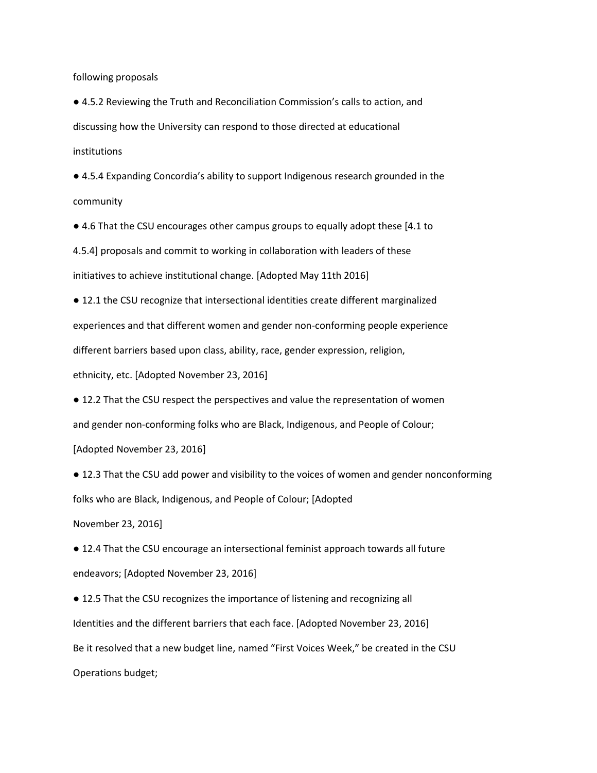following proposals

● 4.5.2 Reviewing the Truth and Reconciliation Commission's calls to action, and discussing how the University can respond to those directed at educational institutions

● 4.5.4 Expanding Concordia's ability to support Indigenous research grounded in the community

● 4.6 That the CSU encourages other campus groups to equally adopt these [4.1 to

4.5.4] proposals and commit to working in collaboration with leaders of these

initiatives to achieve institutional change. [Adopted May 11th 2016]

● 12.1 the CSU recognize that intersectional identities create different marginalized experiences and that different women and gender non-conforming people experience different barriers based upon class, ability, race, gender expression, religion, ethnicity, etc. [Adopted November 23, 2016]

● 12.2 That the CSU respect the perspectives and value the representation of women and gender non-conforming folks who are Black, Indigenous, and People of Colour;

[Adopted November 23, 2016]

● 12.3 That the CSU add power and visibility to the voices of women and gender nonconforming folks who are Black, Indigenous, and People of Colour; [Adopted

November 23, 2016]

● 12.4 That the CSU encourage an intersectional feminist approach towards all future endeavors; [Adopted November 23, 2016]

● 12.5 That the CSU recognizes the importance of listening and recognizing all Identities and the different barriers that each face. [Adopted November 23, 2016] Be it resolved that a new budget line, named "First Voices Week," be created in the CSU Operations budget;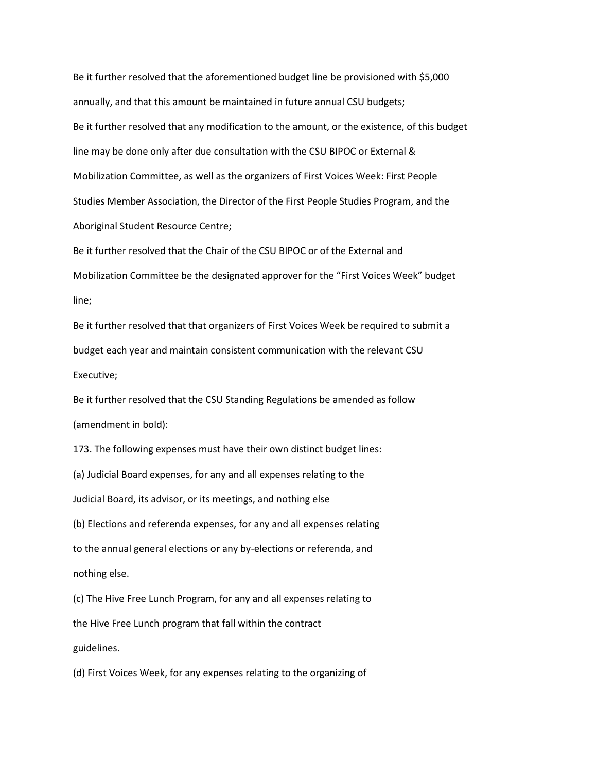Be it further resolved that the aforementioned budget line be provisioned with \$5,000 annually, and that this amount be maintained in future annual CSU budgets; Be it further resolved that any modification to the amount, or the existence, of this budget line may be done only after due consultation with the CSU BIPOC or External & Mobilization Committee, as well as the organizers of First Voices Week: First People Studies Member Association, the Director of the First People Studies Program, and the Aboriginal Student Resource Centre;

Be it further resolved that the Chair of the CSU BIPOC or of the External and Mobilization Committee be the designated approver for the "First Voices Week" budget line;

Be it further resolved that that organizers of First Voices Week be required to submit a budget each year and maintain consistent communication with the relevant CSU Executive;

Be it further resolved that the CSU Standing Regulations be amended as follow (amendment in bold):

173. The following expenses must have their own distinct budget lines: (a) Judicial Board expenses, for any and all expenses relating to the Judicial Board, its advisor, or its meetings, and nothing else (b) Elections and referenda expenses, for any and all expenses relating to the annual general elections or any by-elections or referenda, and nothing else.

(c) The Hive Free Lunch Program, for any and all expenses relating to the Hive Free Lunch program that fall within the contract guidelines.

(d) First Voices Week, for any expenses relating to the organizing of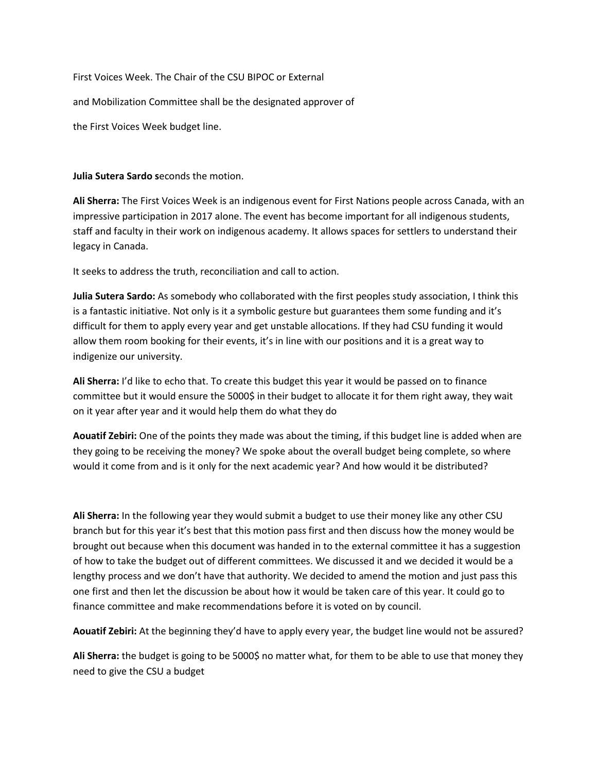First Voices Week. The Chair of the CSU BIPOC or External

and Mobilization Committee shall be the designated approver of

the First Voices Week budget line.

**Julia Sutera Sardo s**econds the motion.

**Ali Sherra:** The First Voices Week is an indigenous event for First Nations people across Canada, with an impressive participation in 2017 alone. The event has become important for all indigenous students, staff and faculty in their work on indigenous academy. It allows spaces for settlers to understand their legacy in Canada.

It seeks to address the truth, reconciliation and call to action.

**Julia Sutera Sardo:** As somebody who collaborated with the first peoples study association, I think this is a fantastic initiative. Not only is it a symbolic gesture but guarantees them some funding and it's difficult for them to apply every year and get unstable allocations. If they had CSU funding it would allow them room booking for their events, it's in line with our positions and it is a great way to indigenize our university.

**Ali Sherra:** I'd like to echo that. To create this budget this year it would be passed on to finance committee but it would ensure the 5000\$ in their budget to allocate it for them right away, they wait on it year after year and it would help them do what they do

**Aouatif Zebiri:** One of the points they made was about the timing, if this budget line is added when are they going to be receiving the money? We spoke about the overall budget being complete, so where would it come from and is it only for the next academic year? And how would it be distributed?

**Ali Sherra:** In the following year they would submit a budget to use their money like any other CSU branch but for this year it's best that this motion pass first and then discuss how the money would be brought out because when this document was handed in to the external committee it has a suggestion of how to take the budget out of different committees. We discussed it and we decided it would be a lengthy process and we don't have that authority. We decided to amend the motion and just pass this one first and then let the discussion be about how it would be taken care of this year. It could go to finance committee and make recommendations before it is voted on by council.

**Aouatif Zebiri:** At the beginning they'd have to apply every year, the budget line would not be assured?

**Ali Sherra:** the budget is going to be 5000\$ no matter what, for them to be able to use that money they need to give the CSU a budget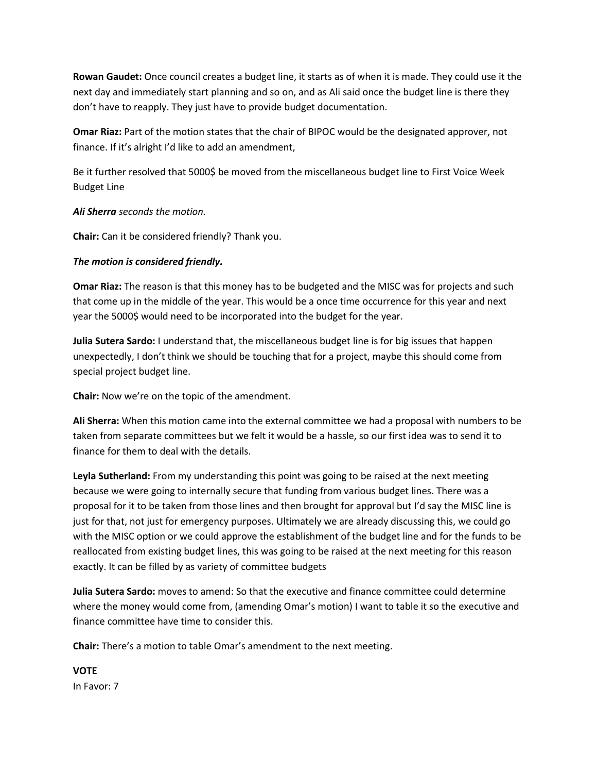**Rowan Gaudet:** Once council creates a budget line, it starts as of when it is made. They could use it the next day and immediately start planning and so on, and as Ali said once the budget line is there they don't have to reapply. They just have to provide budget documentation.

**Omar Riaz:** Part of the motion states that the chair of BIPOC would be the designated approver, not finance. If it's alright I'd like to add an amendment,

Be it further resolved that 5000\$ be moved from the miscellaneous budget line to First Voice Week Budget Line

*Ali Sherra seconds the motion.*

**Chair:** Can it be considered friendly? Thank you.

#### *The motion is considered friendly.*

**Omar Riaz:** The reason is that this money has to be budgeted and the MISC was for projects and such that come up in the middle of the year. This would be a once time occurrence for this year and next year the 5000\$ would need to be incorporated into the budget for the year.

**Julia Sutera Sardo:** I understand that, the miscellaneous budget line is for big issues that happen unexpectedly, I don't think we should be touching that for a project, maybe this should come from special project budget line.

**Chair:** Now we're on the topic of the amendment.

**Ali Sherra:** When this motion came into the external committee we had a proposal with numbers to be taken from separate committees but we felt it would be a hassle, so our first idea was to send it to finance for them to deal with the details.

**Leyla Sutherland:** From my understanding this point was going to be raised at the next meeting because we were going to internally secure that funding from various budget lines. There was a proposal for it to be taken from those lines and then brought for approval but I'd say the MISC line is just for that, not just for emergency purposes. Ultimately we are already discussing this, we could go with the MISC option or we could approve the establishment of the budget line and for the funds to be reallocated from existing budget lines, this was going to be raised at the next meeting for this reason exactly. It can be filled by as variety of committee budgets

**Julia Sutera Sardo:** moves to amend: So that the executive and finance committee could determine where the money would come from, (amending Omar's motion) I want to table it so the executive and finance committee have time to consider this.

**Chair:** There's a motion to table Omar's amendment to the next meeting.

**VOTE** In Favor: 7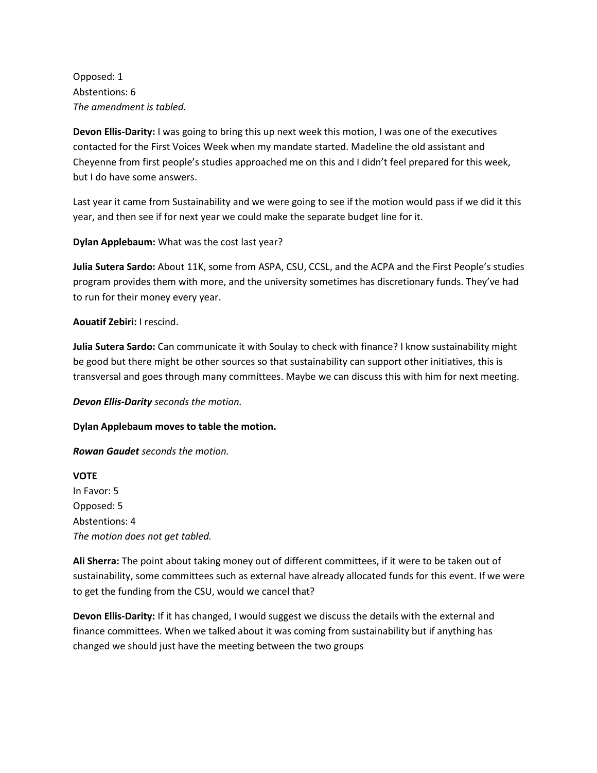Opposed: 1 Abstentions: 6 *The amendment is tabled.*

**Devon Ellis-Darity:** I was going to bring this up next week this motion, I was one of the executives contacted for the First Voices Week when my mandate started. Madeline the old assistant and Cheyenne from first people's studies approached me on this and I didn't feel prepared for this week, but I do have some answers.

Last year it came from Sustainability and we were going to see if the motion would pass if we did it this year, and then see if for next year we could make the separate budget line for it.

**Dylan Applebaum:** What was the cost last year?

**Julia Sutera Sardo:** About 11K, some from ASPA, CSU, CCSL, and the ACPA and the First People's studies program provides them with more, and the university sometimes has discretionary funds. They've had to run for their money every year.

#### **Aouatif Zebiri:** I rescind.

**Julia Sutera Sardo:** Can communicate it with Soulay to check with finance? I know sustainability might be good but there might be other sources so that sustainability can support other initiatives, this is transversal and goes through many committees. Maybe we can discuss this with him for next meeting.

*Devon Ellis-Darity seconds the motion.*

**Dylan Applebaum moves to table the motion.** 

*Rowan Gaudet seconds the motion.* 

**VOTE** In Favor: 5 Opposed: 5 Abstentions: 4 *The motion does not get tabled.*

**Ali Sherra:** The point about taking money out of different committees, if it were to be taken out of sustainability, some committees such as external have already allocated funds for this event. If we were to get the funding from the CSU, would we cancel that?

**Devon Ellis-Darity:** If it has changed, I would suggest we discuss the details with the external and finance committees. When we talked about it was coming from sustainability but if anything has changed we should just have the meeting between the two groups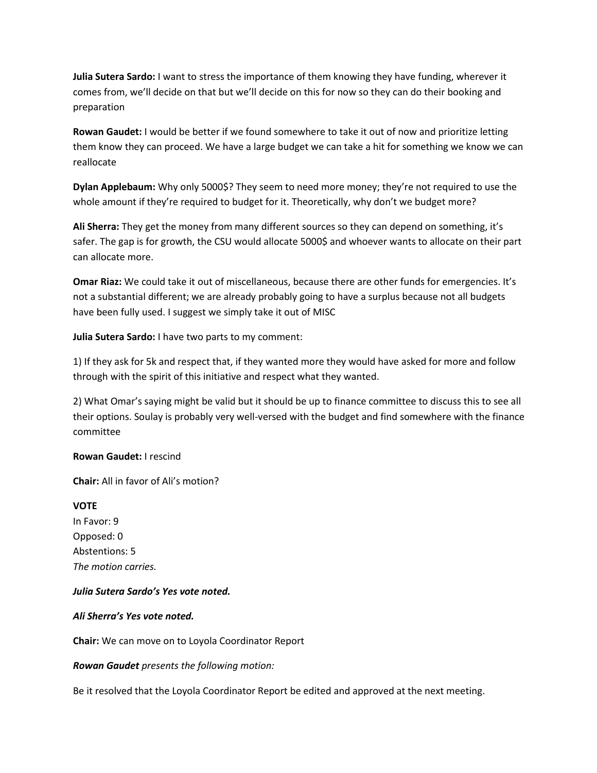**Julia Sutera Sardo:** I want to stress the importance of them knowing they have funding, wherever it comes from, we'll decide on that but we'll decide on this for now so they can do their booking and preparation

**Rowan Gaudet:** I would be better if we found somewhere to take it out of now and prioritize letting them know they can proceed. We have a large budget we can take a hit for something we know we can reallocate

**Dylan Applebaum:** Why only 5000\$? They seem to need more money; they're not required to use the whole amount if they're required to budget for it. Theoretically, why don't we budget more?

**Ali Sherra:** They get the money from many different sources so they can depend on something, it's safer. The gap is for growth, the CSU would allocate 5000\$ and whoever wants to allocate on their part can allocate more.

**Omar Riaz:** We could take it out of miscellaneous, because there are other funds for emergencies. It's not a substantial different; we are already probably going to have a surplus because not all budgets have been fully used. I suggest we simply take it out of MISC

**Julia Sutera Sardo:** I have two parts to my comment:

1) If they ask for 5k and respect that, if they wanted more they would have asked for more and follow through with the spirit of this initiative and respect what they wanted.

2) What Omar's saying might be valid but it should be up to finance committee to discuss this to see all their options. Soulay is probably very well-versed with the budget and find somewhere with the finance committee

#### **Rowan Gaudet:** I rescind

**Chair:** All in favor of Ali's motion?

**VOTE** In Favor: 9 Opposed: 0 Abstentions: 5 *The motion carries.*

#### *Julia Sutera Sardo's Yes vote noted.*

#### *Ali Sherra's Yes vote noted.*

**Chair:** We can move on to Loyola Coordinator Report

*Rowan Gaudet presents the following motion:*

Be it resolved that the Loyola Coordinator Report be edited and approved at the next meeting.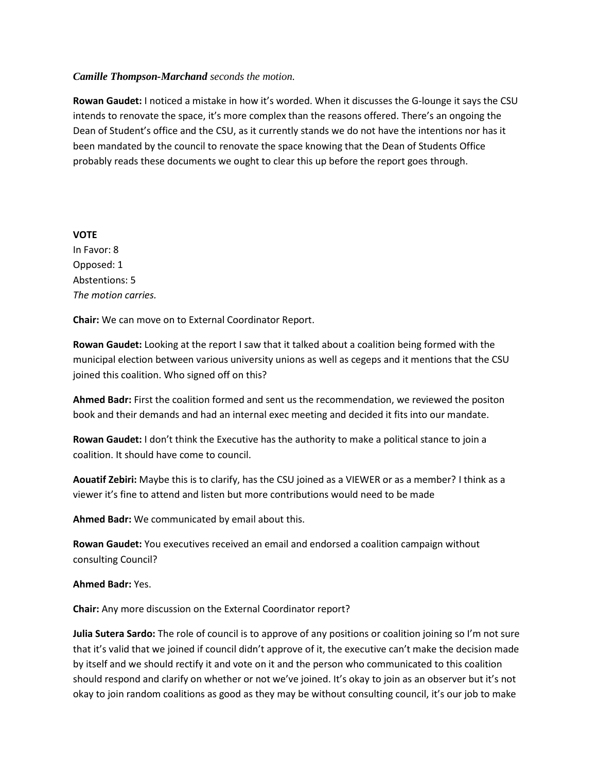#### *Camille Thompson-Marchand seconds the motion.*

**Rowan Gaudet:** I noticed a mistake in how it's worded. When it discusses the G-lounge it says the CSU intends to renovate the space, it's more complex than the reasons offered. There's an ongoing the Dean of Student's office and the CSU, as it currently stands we do not have the intentions nor has it been mandated by the council to renovate the space knowing that the Dean of Students Office probably reads these documents we ought to clear this up before the report goes through.

#### **VOTE**

In Favor: 8 Opposed: 1 Abstentions: 5 *The motion carries.*

**Chair:** We can move on to External Coordinator Report.

**Rowan Gaudet:** Looking at the report I saw that it talked about a coalition being formed with the municipal election between various university unions as well as cegeps and it mentions that the CSU joined this coalition. Who signed off on this?

**Ahmed Badr:** First the coalition formed and sent us the recommendation, we reviewed the positon book and their demands and had an internal exec meeting and decided it fits into our mandate.

**Rowan Gaudet:** I don't think the Executive has the authority to make a political stance to join a coalition. It should have come to council.

**Aouatif Zebiri:** Maybe this is to clarify, has the CSU joined as a VIEWER or as a member? I think as a viewer it's fine to attend and listen but more contributions would need to be made

**Ahmed Badr:** We communicated by email about this.

**Rowan Gaudet:** You executives received an email and endorsed a coalition campaign without consulting Council?

#### **Ahmed Badr:** Yes.

**Chair:** Any more discussion on the External Coordinator report?

**Julia Sutera Sardo:** The role of council is to approve of any positions or coalition joining so I'm not sure that it's valid that we joined if council didn't approve of it, the executive can't make the decision made by itself and we should rectify it and vote on it and the person who communicated to this coalition should respond and clarify on whether or not we've joined. It's okay to join as an observer but it's not okay to join random coalitions as good as they may be without consulting council, it's our job to make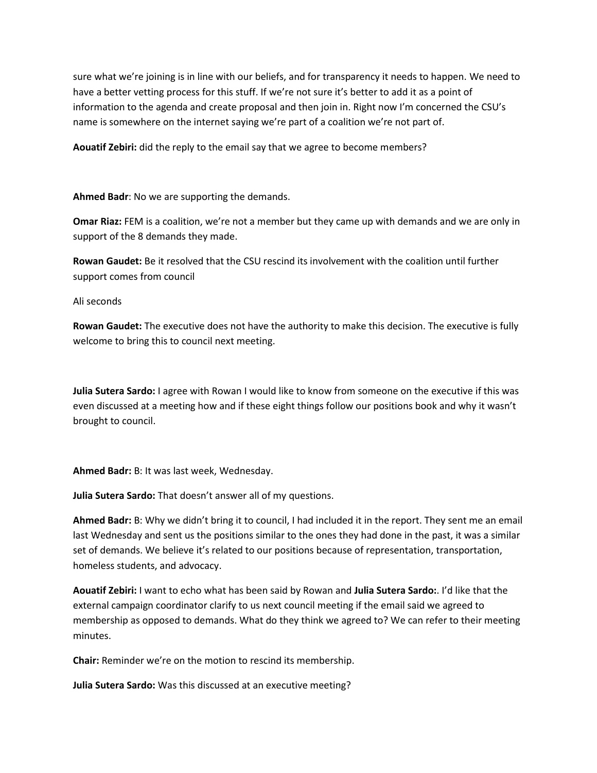sure what we're joining is in line with our beliefs, and for transparency it needs to happen. We need to have a better vetting process for this stuff. If we're not sure it's better to add it as a point of information to the agenda and create proposal and then join in. Right now I'm concerned the CSU's name is somewhere on the internet saying we're part of a coalition we're not part of.

**Aouatif Zebiri:** did the reply to the email say that we agree to become members?

**Ahmed Badr**: No we are supporting the demands.

**Omar Riaz:** FEM is a coalition, we're not a member but they came up with demands and we are only in support of the 8 demands they made.

**Rowan Gaudet:** Be it resolved that the CSU rescind its involvement with the coalition until further support comes from council

Ali seconds

**Rowan Gaudet:** The executive does not have the authority to make this decision. The executive is fully welcome to bring this to council next meeting.

**Julia Sutera Sardo:** I agree with Rowan I would like to know from someone on the executive if this was even discussed at a meeting how and if these eight things follow our positions book and why it wasn't brought to council.

**Ahmed Badr:** B: It was last week, Wednesday.

**Julia Sutera Sardo:** That doesn't answer all of my questions.

**Ahmed Badr:** B: Why we didn't bring it to council, I had included it in the report. They sent me an email last Wednesday and sent us the positions similar to the ones they had done in the past, it was a similar set of demands. We believe it's related to our positions because of representation, transportation, homeless students, and advocacy.

**Aouatif Zebiri:** I want to echo what has been said by Rowan and **Julia Sutera Sardo:**. I'd like that the external campaign coordinator clarify to us next council meeting if the email said we agreed to membership as opposed to demands. What do they think we agreed to? We can refer to their meeting minutes.

**Chair:** Reminder we're on the motion to rescind its membership.

**Julia Sutera Sardo:** Was this discussed at an executive meeting?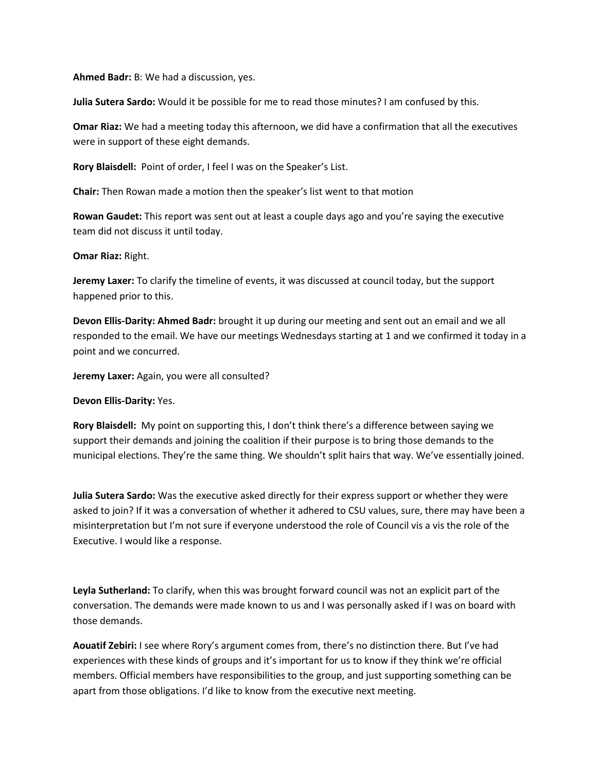**Ahmed Badr:** B: We had a discussion, yes.

**Julia Sutera Sardo:** Would it be possible for me to read those minutes? I am confused by this.

**Omar Riaz:** We had a meeting today this afternoon, we did have a confirmation that all the executives were in support of these eight demands.

**Rory Blaisdell:** Point of order, I feel I was on the Speaker's List.

**Chair:** Then Rowan made a motion then the speaker's list went to that motion

**Rowan Gaudet:** This report was sent out at least a couple days ago and you're saying the executive team did not discuss it until today.

#### **Omar Riaz:** Right.

**Jeremy Laxer:** To clarify the timeline of events, it was discussed at council today, but the support happened prior to this.

**Devon Ellis-Darity: Ahmed Badr:** brought it up during our meeting and sent out an email and we all responded to the email. We have our meetings Wednesdays starting at 1 and we confirmed it today in a point and we concurred.

**Jeremy Laxer:** Again, you were all consulted?

**Devon Ellis-Darity:** Yes.

**Rory Blaisdell:** My point on supporting this, I don't think there's a difference between saying we support their demands and joining the coalition if their purpose is to bring those demands to the municipal elections. They're the same thing. We shouldn't split hairs that way. We've essentially joined.

**Julia Sutera Sardo:** Was the executive asked directly for their express support or whether they were asked to join? If it was a conversation of whether it adhered to CSU values, sure, there may have been a misinterpretation but I'm not sure if everyone understood the role of Council vis a vis the role of the Executive. I would like a response.

**Leyla Sutherland:** To clarify, when this was brought forward council was not an explicit part of the conversation. The demands were made known to us and I was personally asked if I was on board with those demands.

**Aouatif Zebiri:** I see where Rory's argument comes from, there's no distinction there. But I've had experiences with these kinds of groups and it's important for us to know if they think we're official members. Official members have responsibilities to the group, and just supporting something can be apart from those obligations. I'd like to know from the executive next meeting.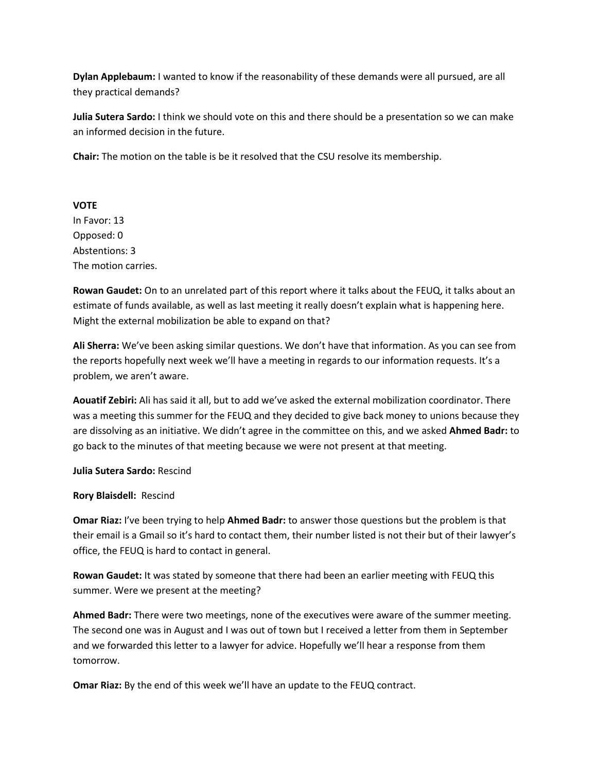**Dylan Applebaum:** I wanted to know if the reasonability of these demands were all pursued, are all they practical demands?

**Julia Sutera Sardo:** I think we should vote on this and there should be a presentation so we can make an informed decision in the future.

**Chair:** The motion on the table is be it resolved that the CSU resolve its membership.

#### **VOTE**

In Favor: 13 Opposed: 0 Abstentions: 3 The motion carries.

**Rowan Gaudet:** On to an unrelated part of this report where it talks about the FEUQ, it talks about an estimate of funds available, as well as last meeting it really doesn't explain what is happening here. Might the external mobilization be able to expand on that?

**Ali Sherra:** We've been asking similar questions. We don't have that information. As you can see from the reports hopefully next week we'll have a meeting in regards to our information requests. It's a problem, we aren't aware.

**Aouatif Zebiri:** Ali has said it all, but to add we've asked the external mobilization coordinator. There was a meeting this summer for the FEUQ and they decided to give back money to unions because they are dissolving as an initiative. We didn't agree in the committee on this, and we asked **Ahmed Badr:** to go back to the minutes of that meeting because we were not present at that meeting.

**Julia Sutera Sardo:** Rescind

#### **Rory Blaisdell:** Rescind

**Omar Riaz:** I've been trying to help **Ahmed Badr:** to answer those questions but the problem is that their email is a Gmail so it's hard to contact them, their number listed is not their but of their lawyer's office, the FEUQ is hard to contact in general.

**Rowan Gaudet:** It was stated by someone that there had been an earlier meeting with FEUQ this summer. Were we present at the meeting?

**Ahmed Badr:** There were two meetings, none of the executives were aware of the summer meeting. The second one was in August and I was out of town but I received a letter from them in September and we forwarded this letter to a lawyer for advice. Hopefully we'll hear a response from them tomorrow.

**Omar Riaz:** By the end of this week we'll have an update to the FEUQ contract.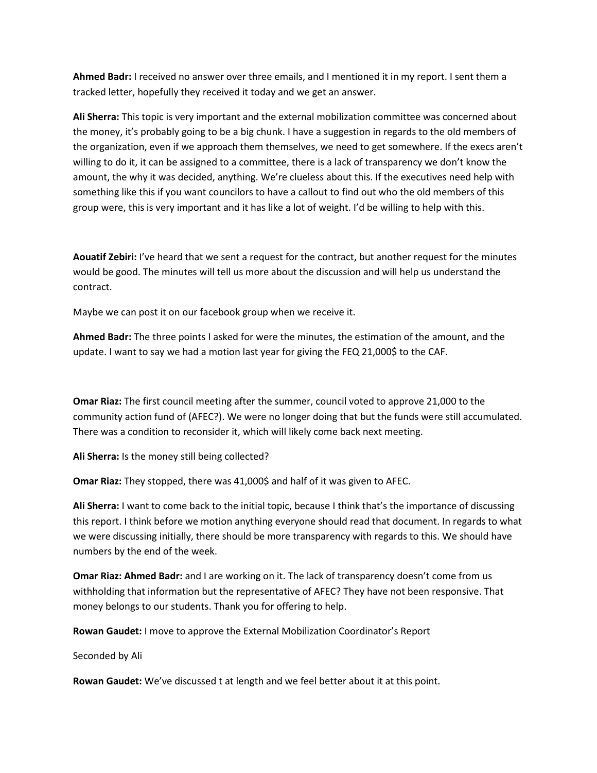**Ahmed Badr:** I received no answer over three emails, and I mentioned it in my report. I sent them a tracked letter, hopefully they received it today and we get an answer.

**Ali Sherra:** This topic is very important and the external mobilization committee was concerned about the money, it's probably going to be a big chunk. I have a suggestion in regards to the old members of the organization, even if we approach them themselves, we need to get somewhere. If the execs aren't willing to do it, it can be assigned to a committee, there is a lack of transparency we don't know the amount, the why it was decided, anything. We're clueless about this. If the executives need help with something like this if you want councilors to have a callout to find out who the old members of this group were, this is very important and it has like a lot of weight. I'd be willing to help with this.

**Aouatif Zebiri:** I've heard that we sent a request for the contract, but another request for the minutes would be good. The minutes will tell us more about the discussion and will help us understand the contract.

Maybe we can post it on our facebook group when we receive it.

**Ahmed Badr:** The three points I asked for were the minutes, the estimation of the amount, and the update. I want to say we had a motion last year for giving the FEQ 21,000\$ to the CAF.

**Omar Riaz:** The first council meeting after the summer, council voted to approve 21,000 to the community action fund of (AFEC?). We were no longer doing that but the funds were still accumulated. There was a condition to reconsider it, which will likely come back next meeting.

**Ali Sherra:** Is the money still being collected?

**Omar Riaz:** They stopped, there was 41,000\$ and half of it was given to AFEC.

**Ali Sherra:** I want to come back to the initial topic, because I think that's the importance of discussing this report. I think before we motion anything everyone should read that document. In regards to what we were discussing initially, there should be more transparency with regards to this. We should have numbers by the end of the week.

**Omar Riaz: Ahmed Badr:** and I are working on it. The lack of transparency doesn't come from us withholding that information but the representative of AFEC? They have not been responsive. That money belongs to our students. Thank you for offering to help.

**Rowan Gaudet:** I move to approve the External Mobilization Coordinator's Report

Seconded by Ali

**Rowan Gaudet:** We've discussed t at length and we feel better about it at this point.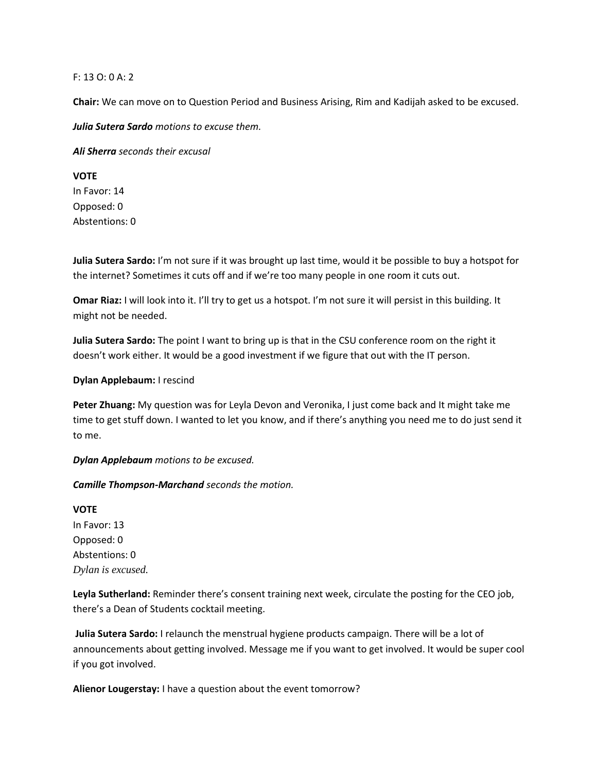#### F: 13 O: 0 A: 2

**Chair:** We can move on to Question Period and Business Arising, Rim and Kadijah asked to be excused.

*Julia Sutera Sardo motions to excuse them.*

*Ali Sherra seconds their excusal*

#### **VOTE**

In Favor: 14 Opposed: 0 Abstentions: 0

**Julia Sutera Sardo:** I'm not sure if it was brought up last time, would it be possible to buy a hotspot for the internet? Sometimes it cuts off and if we're too many people in one room it cuts out.

**Omar Riaz:** I will look into it. I'll try to get us a hotspot. I'm not sure it will persist in this building. It might not be needed.

**Julia Sutera Sardo:** The point I want to bring up is that in the CSU conference room on the right it doesn't work either. It would be a good investment if we figure that out with the IT person.

#### **Dylan Applebaum:** I rescind

**Peter Zhuang:** My question was for Leyla Devon and Veronika, I just come back and It might take me time to get stuff down. I wanted to let you know, and if there's anything you need me to do just send it to me.

*Dylan Applebaum motions to be excused.*

*Camille Thompson-Marchand seconds the motion.*

# **VOTE** In Favor: 13 Opposed: 0 Abstentions: 0 *Dylan is excused.*

**Leyla Sutherland:** Reminder there's consent training next week, circulate the posting for the CEO job, there's a Dean of Students cocktail meeting.

**Julia Sutera Sardo:** I relaunch the menstrual hygiene products campaign. There will be a lot of announcements about getting involved. Message me if you want to get involved. It would be super cool if you got involved.

**Alienor Lougerstay:** I have a question about the event tomorrow?